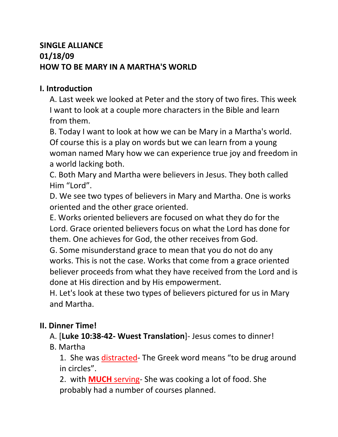# **SINGLE ALLIANCE 01/18/09 HOW TO BE MARY IN A MARTHA'S WORLD**

## **I. Introduction**

A. Last week we looked at Peter and the story of two fires. This week I want to look at a couple more characters in the Bible and learn from them.

B. Today I want to look at how we can be Mary in a Martha's world. Of course this is a play on words but we can learn from a young woman named Mary how we can experience true joy and freedom in a world lacking both.

C. Both Mary and Martha were believers in Jesus. They both called Him "Lord".

D. We see two types of believers in Mary and Martha. One is works oriented and the other grace oriented.

E. Works oriented believers are focused on what they do for the Lord. Grace oriented believers focus on what the Lord has done for them. One achieves for God, the other receives from God.

G. Some misunderstand grace to mean that you do not do any works. This is not the case. Works that come from a grace oriented believer proceeds from what they have received from the Lord and is done at His direction and by His empowerment.

H. Let's look at these two types of believers pictured for us in Mary and Martha.

## **II. Dinner Time!**

## A. [**Luke 10:38-42- Wuest Translation**]- Jesus comes to dinner!

# B. Martha

1. She was distracted- The Greek word means "to be drug around in circles".

2. with **MUCH** serving- She was cooking a lot of food. She probably had a number of courses planned.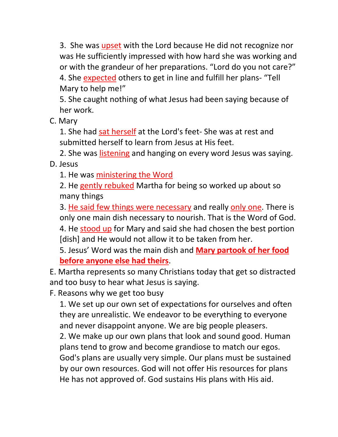3. She was upset with the Lord because He did not recognize nor was He sufficiently impressed with how hard she was working and or with the grandeur of her preparations. "Lord do you not care?" 4. She expected others to get in line and fulfill her plans- "Tell Mary to help me!"

5. She caught nothing of what Jesus had been saying because of her work.

C. Mary

1. She had sat herself at the Lord's feet- She was at rest and submitted herself to learn from Jesus at His feet.

2. She was listening and hanging on every word Jesus was saying. D. Jesus

1. He was ministering the Word

2. He gently rebuked Martha for being so worked up about so many things

3. He said few things were necessary and really only one. There is only one main dish necessary to nourish. That is the Word of God. 4. He stood up for Mary and said she had chosen the best portion [dish] and He would not allow it to be taken from her.

5. Jesus' Word was the main dish and **Mary partook of her food before anyone else had theirs**.

E. Martha represents so many Christians today that get so distracted and too busy to hear what Jesus is saying.

F. Reasons why we get too busy

1. We set up our own set of expectations for ourselves and often they are unrealistic. We endeavor to be everything to everyone and never disappoint anyone. We are big people pleasers. 2. We make up our own plans that look and sound good. Human plans tend to grow and become grandiose to match our egos. God's plans are usually very simple. Our plans must be sustained by our own resources. God will not offer His resources for plans He has not approved of. God sustains His plans with His aid.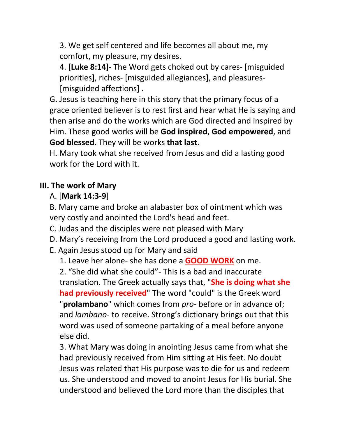3. We get self centered and life becomes all about me, my comfort, my pleasure, my desires.

4. [**Luke 8:14**]- The Word gets choked out by cares- [misguided priorities], riches- [misguided allegiances], and pleasures- [misguided affections] .

G. Jesus is teaching here in this story that the primary focus of a grace oriented believer is to rest first and hear what He is saying and then arise and do the works which are God directed and inspired by Him. These good works will be **God inspired**, **God empowered**, and **God blessed**. They will be works **that last**.

H. Mary took what she received from Jesus and did a lasting good work for the Lord with it.

# **III. The work of Mary**

# A. [**Mark 14:3-9**]

B. Mary came and broke an alabaster box of ointment which was very costly and anointed the Lord's head and feet.

C. Judas and the disciples were not pleased with Mary

D. Mary's receiving from the Lord produced a good and lasting work.

E. Again Jesus stood up for Mary and said

1. Leave her alone- she has done a **GOOD WORK** on me.

2. "She did what she could"- This is a bad and inaccurate translation. The Greek actually says that, "**She is doing what she had previously received**" The word "could" is the Greek word "**prolambano**" which comes from *pro*- before or in advance of; and *lambano*- to receive. Strong's dictionary brings out that this word was used of someone partaking of a meal before anyone else did.

3. What Mary was doing in anointing Jesus came from what she had previously received from Him sitting at His feet. No doubt Jesus was related that His purpose was to die for us and redeem us. She understood and moved to anoint Jesus for His burial. She understood and believed the Lord more than the disciples that